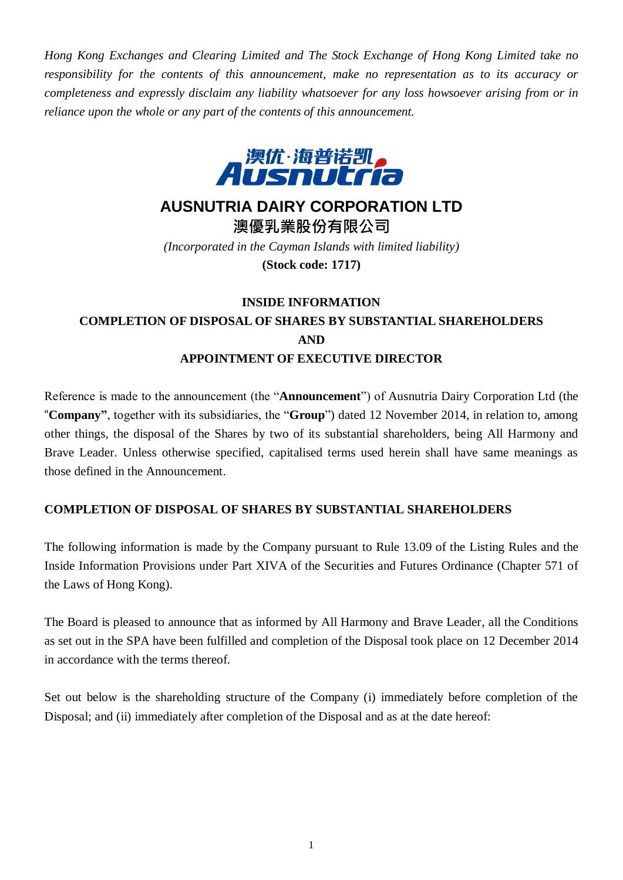*Hong Kong Exchanges and Clearing Limited and The Stock Exchange of Hong Kong Limited take no responsibility for the contents of this announcement, make no representation as to its accuracy or completeness and expressly disclaim any liability whatsoever for any loss howsoever arising from or in reliance upon the whole or any part of the contents of this announcement.*



## **AUSNUTRIA DAIRY CORPORATION LTD**

**澳優乳業股份有限公司** *(Incorporated in the Cayman Islands with limited liability)* **(Stock code: 1717)**

## **INSIDE INFORMATION COMPLETION OF DISPOSAL OF SHARES BY SUBSTANTIAL SHAREHOLDERS AND APPOINTMENT OF EXECUTIVE DIRECTOR**

Reference is made to the announcement (the "**Announcement**") of Ausnutria Dairy Corporation Ltd (the "**Company"**, together with its subsidiaries, the "**Group**") dated 12 November 2014, in relation to, among other things, the disposal of the Shares by two of its substantial shareholders, being All Harmony and Brave Leader. Unless otherwise specified, capitalised terms used herein shall have same meanings as those defined in the Announcement.

## **COMPLETION OF DISPOSAL OF SHARES BY SUBSTANTIAL SHAREHOLDERS**

The following information is made by the Company pursuant to Rule 13.09 of the Listing Rules and the Inside Information Provisions under Part XIVA of the Securities and Futures Ordinance (Chapter 571 of the Laws of Hong Kong).

The Board is pleased to announce that as informed by All Harmony and Brave Leader, all the Conditions as set out in the SPA have been fulfilled and completion of the Disposal took place on 12 December 2014 in accordance with the terms thereof.

Set out below is the shareholding structure of the Company (i) immediately before completion of the Disposal; and (ii) immediately after completion of the Disposal and as at the date hereof: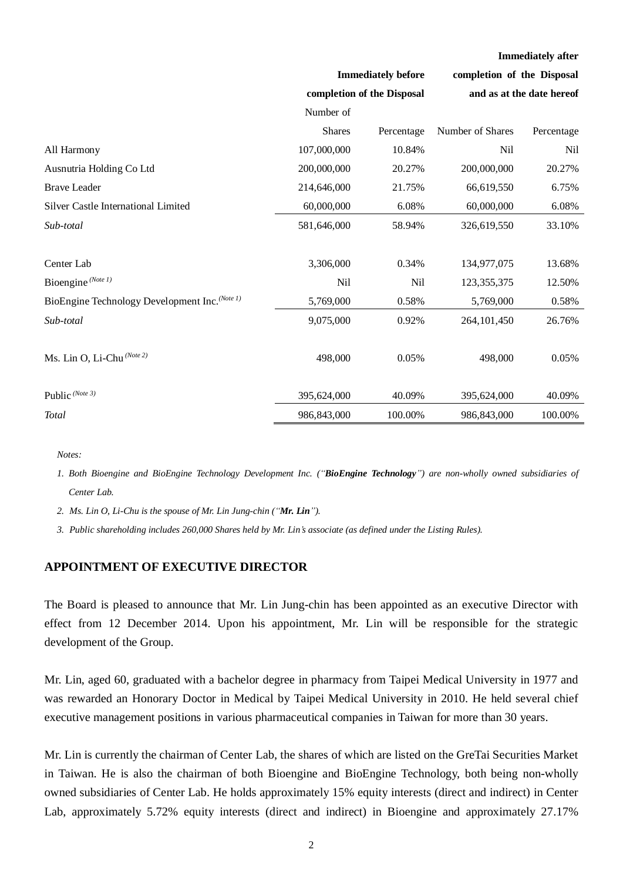|                                                |                                                         |            | <b>Immediately after</b>                                |            |
|------------------------------------------------|---------------------------------------------------------|------------|---------------------------------------------------------|------------|
|                                                | <b>Immediately before</b><br>completion of the Disposal |            | completion of the Disposal<br>and as at the date hereof |            |
|                                                |                                                         |            |                                                         |            |
|                                                | Number of                                               |            |                                                         |            |
|                                                | <b>Shares</b>                                           | Percentage | Number of Shares                                        | Percentage |
| All Harmony                                    | 107,000,000                                             | 10.84%     | Nil                                                     | Nil        |
| Ausnutria Holding Co Ltd                       | 200,000,000                                             | 20.27%     | 200,000,000                                             | 20.27%     |
| <b>Brave Leader</b>                            | 214,646,000                                             | 21.75%     | 66,619,550                                              | 6.75%      |
| <b>Silver Castle International Limited</b>     | 60,000,000                                              | 6.08%      | 60,000,000                                              | 6.08%      |
| Sub-total                                      | 581,646,000                                             | 58.94%     | 326,619,550                                             | 33.10%     |
| Center Lab                                     | 3,306,000                                               | 0.34%      | 134,977,075                                             | 13.68%     |
| Bioengine <sup>(Note 1)</sup>                  | <b>Nil</b>                                              | <b>Nil</b> | 123, 355, 375                                           | 12.50%     |
| BioEngine Technology Development Inc. (Note 1) | 5,769,000                                               | 0.58%      | 5,769,000                                               | 0.58%      |
| Sub-total                                      | 9,075,000                                               | 0.92%      | 264, 101, 450                                           | 26.76%     |
| Ms. Lin O, Li-Chu (Note 2)                     | 498,000                                                 | 0.05%      | 498,000                                                 | 0.05%      |
| Public $^{(Note 3)}$                           | 395,624,000                                             | 40.09%     | 395,624,000                                             | 40.09%     |
| <b>Total</b>                                   | 986, 843, 000                                           | 100.00%    | 986, 843, 000                                           | 100.00%    |

*Notes:*

1. Both Bioengine and BioEngine Technology Development Inc. ("BioEngine Technology") are non-wholly owned subsidiaries of *Center Lab.*

*2. Ms. Lin O, Li-Chu is the spouse of Mr. Lin Jung-chin ("Mr. Lin").*

*3. Public shareholding includes 260,000 Shares held by Mr. Lin's associate (as defined under the Listing Rules).*

## **APPOINTMENT OF EXECUTIVE DIRECTOR**

The Board is pleased to announce that Mr. Lin Jung-chin has been appointed as an executive Director with effect from 12 December 2014. Upon his appointment, Mr. Lin will be responsible for the strategic development of the Group.

Mr. Lin, aged 60, graduated with a bachelor degree in pharmacy from Taipei Medical University in 1977 and was rewarded an Honorary Doctor in Medical by Taipei Medical University in 2010. He held several chief executive management positions in various pharmaceutical companies in Taiwan for more than 30 years.

Mr. Lin is currently the chairman of Center Lab, the shares of which are listed on the GreTai Securities Market in Taiwan. He is also the chairman of both Bioengine and BioEngine Technology, both being non-wholly owned subsidiaries of Center Lab. He holds approximately 15% equity interests (direct and indirect) in Center Lab, approximately 5.72% equity interests (direct and indirect) in Bioengine and approximately 27.17%